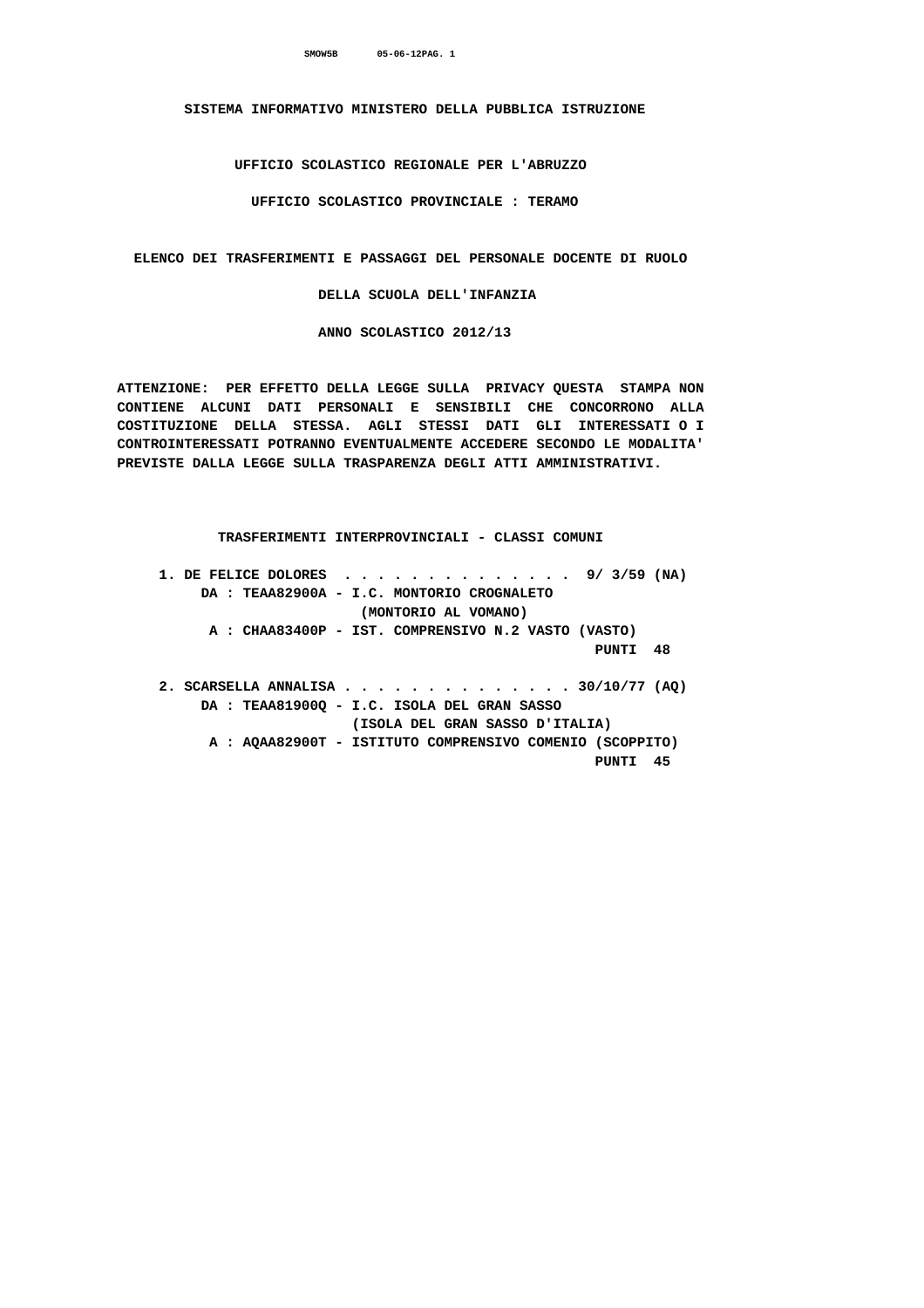**SMOW5B 05-06-12PAG. 1**

 **SISTEMA INFORMATIVO MINISTERO DELLA PUBBLICA ISTRUZIONE**

 **UFFICIO SCOLASTICO REGIONALE PER L'ABRUZZO**

 **UFFICIO SCOLASTICO PROVINCIALE : TERAMO**

 **ELENCO DEI TRASFERIMENTI E PASSAGGI DEL PERSONALE DOCENTE DI RUOLO**

 **DELLA SCUOLA DELL'INFANZIA**

 **ANNO SCOLASTICO 2012/13**

 **ATTENZIONE: PER EFFETTO DELLA LEGGE SULLA PRIVACY QUESTA STAMPA NON CONTIENE ALCUNI DATI PERSONALI E SENSIBILI CHE CONCORRONO ALLA COSTITUZIONE DELLA STESSA. AGLI STESSI DATI GLI INTERESSATI O I CONTROINTERESSATI POTRANNO EVENTUALMENTE ACCEDERE SECONDO LE MODALITA' PREVISTE DALLA LEGGE SULLA TRASPARENZA DEGLI ATTI AMMINISTRATIVI.**

## **TRASFERIMENTI INTERPROVINCIALI - CLASSI COMUNI**

|                                 |  |  | DA: TEAA82900A - I.C. MONTORIO CROGNALETO                |  |  |  |  |  |  |  |  |  |  |  |          |                                     |
|---------------------------------|--|--|----------------------------------------------------------|--|--|--|--|--|--|--|--|--|--|--|----------|-------------------------------------|
| (MONTORIO AL VOMANO)            |  |  |                                                          |  |  |  |  |  |  |  |  |  |  |  |          |                                     |
|                                 |  |  | A : CHAA83400P - IST. COMPRENSIVO N.2 VASTO (VASTO)      |  |  |  |  |  |  |  |  |  |  |  |          |                                     |
|                                 |  |  |                                                          |  |  |  |  |  |  |  |  |  |  |  | PUNTI 48 |                                     |
|                                 |  |  |                                                          |  |  |  |  |  |  |  |  |  |  |  |          |                                     |
|                                 |  |  |                                                          |  |  |  |  |  |  |  |  |  |  |  |          | 2. SCARSELLA ANNALISA 30/10/77 (AO) |
|                                 |  |  | DA : TEAA81900Q - I.C. ISOLA DEL GRAN SASSO              |  |  |  |  |  |  |  |  |  |  |  |          |                                     |
| (ISOLA DEL GRAN SASSO D'ITALIA) |  |  |                                                          |  |  |  |  |  |  |  |  |  |  |  |          |                                     |
|                                 |  |  | A : AOAA82900T - ISTITUTO COMPRENSIVO COMENIO (SCOPPITO) |  |  |  |  |  |  |  |  |  |  |  |          |                                     |
|                                 |  |  |                                                          |  |  |  |  |  |  |  |  |  |  |  | PINTT    | - 45                                |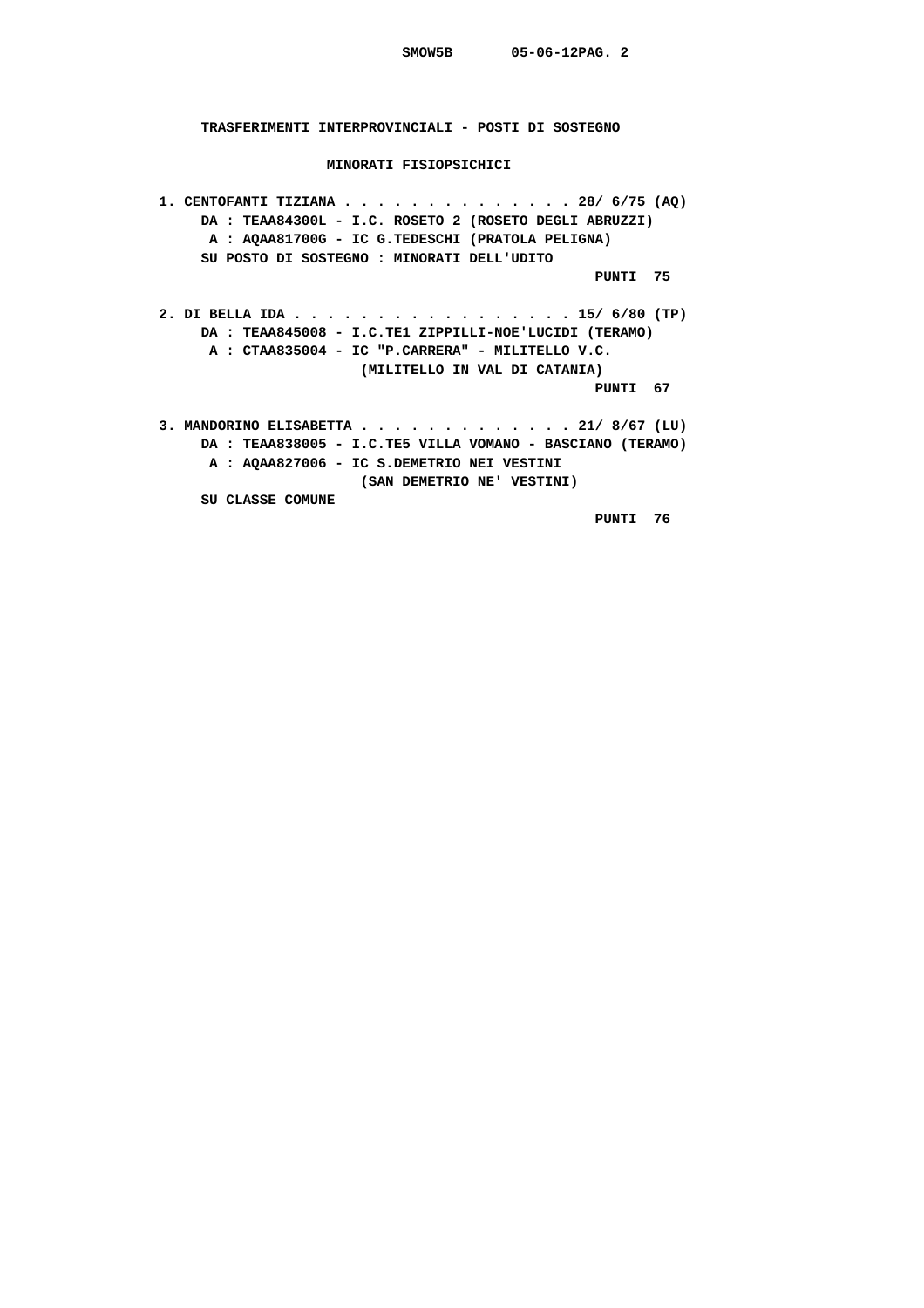**TRASFERIMENTI INTERPROVINCIALI - POSTI DI SOSTEGNO MINORATI FISIOPSICHICI 1. CENTOFANTI TIZIANA . . . . . . . . . . . . . . 28/ 6/75 (AQ) DA : TEAA84300L - I.C. ROSETO 2 (ROSETO DEGLI ABRUZZI) A : AQAA81700G - IC G.TEDESCHI (PRATOLA PELIGNA) SU POSTO DI SOSTEGNO : MINORATI DELL'UDITO PUNTI 75 2. DI BELLA IDA . . . . . . . . . . . . . . . . . 15/ 6/80 (TP) DA : TEAA845008 - I.C.TE1 ZIPPILLI-NOE'LUCIDI (TERAMO) A : CTAA835004 - IC "P.CARRERA" - MILITELLO V.C. (MILITELLO IN VAL DI CATANIA) PUNTI 67 3. MANDORINO ELISABETTA . . . . . . . . . . . . . 21/ 8/67 (LU) DA : TEAA838005 - I.C.TE5 VILLA VOMANO - BASCIANO (TERAMO) A : AQAA827006 - IC S.DEMETRIO NEI VESTINI (SAN DEMETRIO NE' VESTINI) SU CLASSE COMUNE PUNTI 76**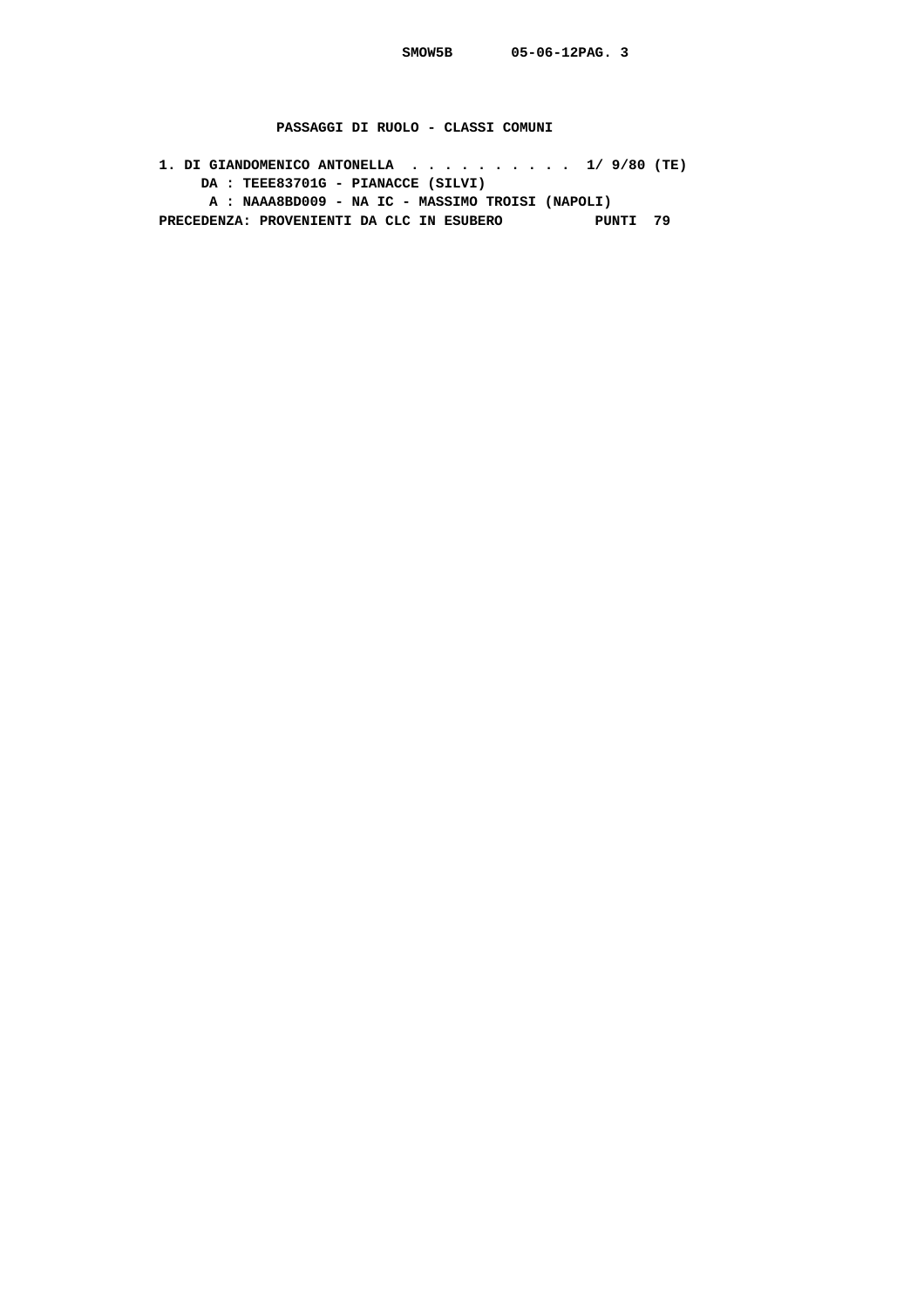**PASSAGGI DI RUOLO - CLASSI COMUNI**

 **1. DI GIANDOMENICO ANTONELLA . . . . . . . . . . 1/ 9/80 (TE) DA : TEEE83701G - PIANACCE (SILVI) A : NAAA8BD009 - NA IC - MASSIMO TROISI (NAPOLI) PRECEDENZA: PROVENIENTI DA CLC IN ESUBERO PUNTI 79**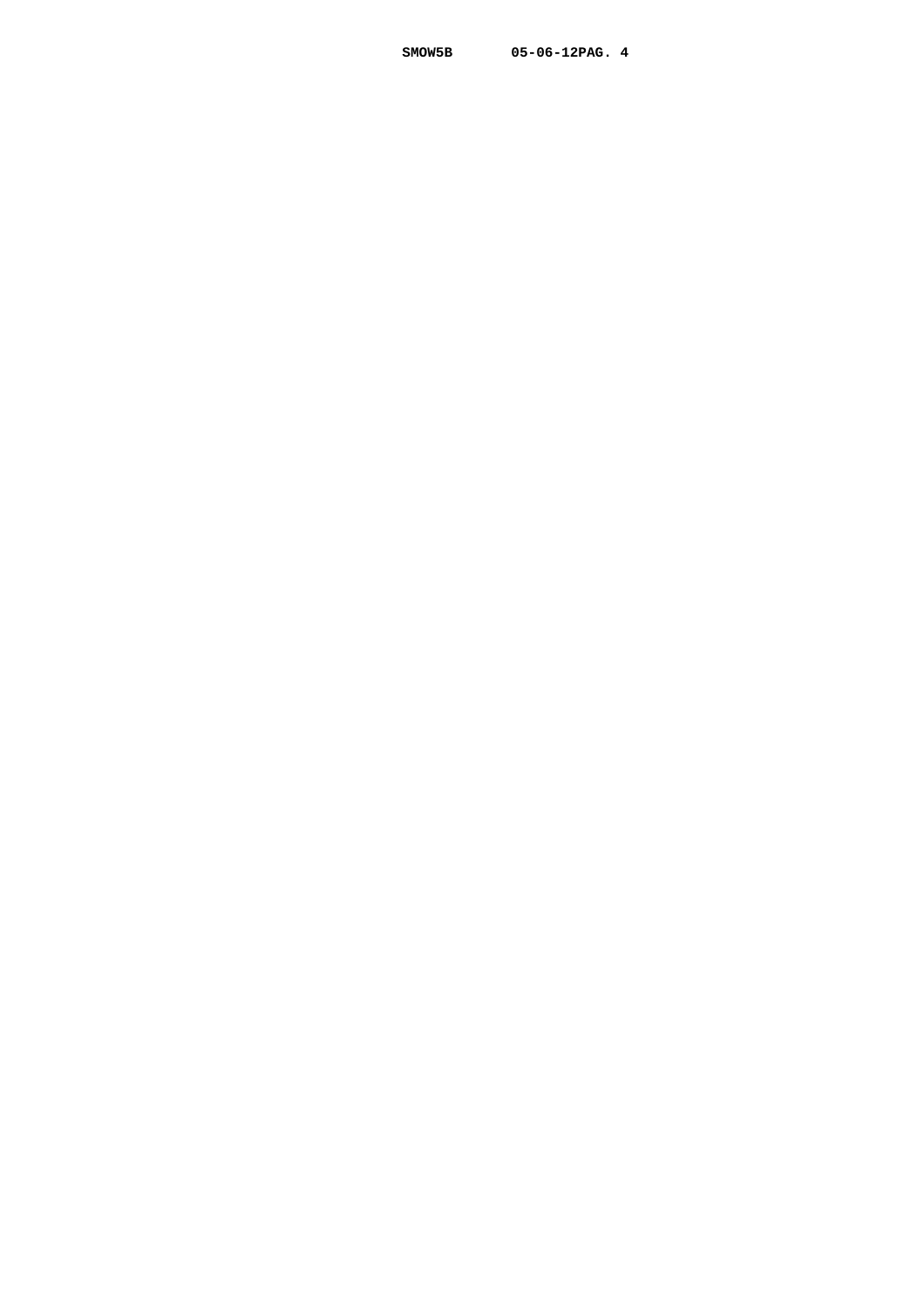**SMOW5B 05-06-12PAG. 4**